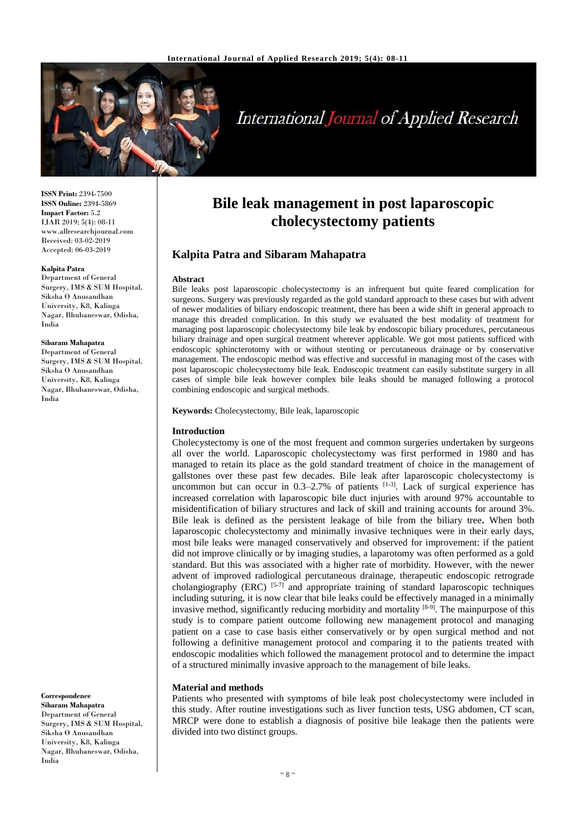

# **International Journal of Applied Research**

**ISSN Print:** 2394-7500 **ISSN Online:** 2394-5869 **Impact Factor:** 5.2 IJAR 2019; 5(4): 08-11 www.allresearchjournal.com Received: 03-02-2019 Accepted: 06-03-2019

#### **Kalpita Patra**

Department of General Surgery, IMS & SUM Hospital, Siksha O Anusandhan University, K8, Kalinga Nagar, Bhubaneswar, Odisha, India

#### **Sibaram Mahapatra**

Department of General Surgery, IMS & SUM Hospital, Siksha O Anusandhan University, K8, Kalinga Nagar, Bhubaneswar, Odisha, India

**Correspondence**

**Sibaram Mahapatra** Department of General Surgery, IMS & SUM Hospital, Siksha O Anusandhan University, K8, Kalinga Nagar, Bhubaneswar, Odisha, India

# **Bile leak management in post laparoscopic cholecystectomy patients**

# **Kalpita Patra and Sibaram Mahapatra**

#### **Abstract**

Bile leaks post laparoscopic cholecystectomy is an infrequent but quite feared complication for surgeons. Surgery was previously regarded as the gold standard approach to these cases but with advent of newer modalities of biliary endoscopic treatment, there has been a wide shift in general approach to manage this dreaded complication. In this study we evaluated the best modality of treatment for managing post laparoscopic cholecystectomy bile leak by endoscopic biliary procedures, percutaneous biliary drainage and open surgical treatment wherever applicable. We got most patients sufficed with endoscopic sphincterotomy with or without stenting or percutaneous drainage or by conservative management. The endoscopic method was effective and successful in managing most of the cases with post laparoscopic cholecystectomy bile leak. Endoscopic treatment can easily substitute surgery in all cases of simple bile leak however complex bile leaks should be managed following a protocol combining endoscopic and surgical methods.

**Keywords:** Cholecystectomy, Bile leak, laparoscopic

#### **Introduction**

Cholecystectomy is one of the most frequent and common surgeries undertaken by surgeons all over the world. Laparoscopic cholecystectomy was first performed in 1980 and has managed to retain its place as the gold standard treatment of choice in the management of gallstones over these past few decades. Bile leak after laparoscopic cholecystectomy is uncommon but can occur in  $0.3-2.7\%$  of patients  $[1-3]$ . Lack of surgical experience has increased correlation with laparoscopic bile duct injuries with around 97% accountable to misidentification of biliary structures and lack of skill and training accounts for around 3%. Bile leak is defined as the persistent leakage of bile from the biliary tree**.** When both laparoscopic cholecystectomy and minimally invasive techniques were in their early days, most bile leaks were managed conservatively and observed for improvement: if the patient did not improve clinically or by imaging studies, a laparotomy was often performed as a gold standard. But this was associated with a higher rate of morbidity. However, with the newer advent of improved radiological percutaneous drainage, therapeutic endoscopic retrograde cholangiography (ERC)  $[5-7]$  and appropriate training of standard laparoscopic techniques including suturing, it is now clear that bile leaks could be effectively managed in a minimally invasive method, significantly reducing morbidity and mortality [8-9]. The mainpurpose of this study is to compare patient outcome following new management protocol and managing patient on a case to case basis either conservatively or by open surgical method and not following a definitive management protocol and comparing it to the patients treated with endoscopic modalities which followed the management protocol and to determine the impact of a structured minimally invasive approach to the management of bile leaks.

#### **Material and methods**

Patients who presented with symptoms of bile leak post cholecystectomy were included in this study. After routine investigations such as liver function tests, USG abdomen, CT scan, MRCP were done to establish a diagnosis of positive bile leakage then the patients were divided into two distinct groups.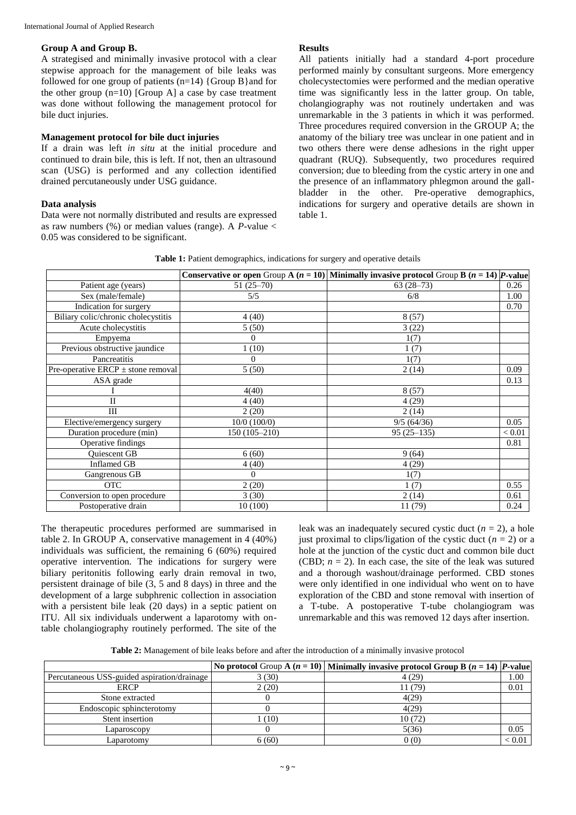#### **Group A and Group B.**

A strategised and minimally invasive protocol with a clear stepwise approach for the management of bile leaks was followed for one group of patients  $(n=14)$  {Group B} and for the other group  $(n=10)$  [Group A] a case by case treatment was done without following the management protocol for bile duct injuries.

# **Management protocol for bile duct injuries**

If a drain was left *in situ* at the initial procedure and continued to drain bile, this is left. If not, then an ultrasound scan (USG) is performed and any collection identified drained percutaneously under USG guidance.

#### **Data analysis**

Data were not normally distributed and results are expressed as raw numbers (%) or median values (range). A *P*-value < 0.05 was considered to be significant.

## **Results**

All patients initially had a standard 4-port procedure performed mainly by consultant surgeons. More emergency cholecystectomies were performed and the median operative time was significantly less in the latter group. On table, cholangiography was not routinely undertaken and was unremarkable in the 3 patients in which it was performed. Three procedures required conversion in the GROUP A; the anatomy of the biliary tree was unclear in one patient and in two others there were dense adhesions in the right upper quadrant (RUQ). Subsequently, two procedures required conversion; due to bleeding from the cystic artery in one and the presence of an inflammatory phlegmon around the gallbladder in the other. Pre-operative demographics, indications for surgery and operative details are shown in table 1.

Table 1: Patient demographics, indications for surgery and operative details

|                                        |                  | Conservative or open Group A $(n = 10)$ Minimally invasive protocol Group B $(n = 14)$ P-value |        |
|----------------------------------------|------------------|------------------------------------------------------------------------------------------------|--------|
| Patient age (years)                    | $51(25-70)$      | $63(28-73)$                                                                                    | 0.26   |
| Sex (male/female)                      | 5/5              | 6/8                                                                                            | 1.00   |
| Indication for surgery                 |                  |                                                                                                | 0.70   |
| Biliary colic/chronic cholecystitis    | 4(40)            | 8(57)                                                                                          |        |
| Acute cholecystitis                    | 5(50)            | 3(22)                                                                                          |        |
| Empyema                                | $\theta$         | 1(7)                                                                                           |        |
| Previous obstructive jaundice          | 1(10)            | 1(7)                                                                                           |        |
| Pancreatitis                           | $\theta$         | 1(7)                                                                                           |        |
| Pre-operative ERCP $\pm$ stone removal | 5(50)            | 2(14)                                                                                          | 0.09   |
| ASA grade                              |                  |                                                                                                | 0.13   |
|                                        | 4(40)            | 8(57)                                                                                          |        |
| $\mathbf{I}$                           | 4(40)            | 4 (29)                                                                                         |        |
| IΙI                                    | 2(20)            | 2(14)                                                                                          |        |
| Elective/emergency surgery             | $10/0$ (100/0)   | 9/5(64/36)                                                                                     | 0.05   |
| Duration procedure (min)               | $150(105 - 210)$ | $95(25-135)$                                                                                   | < 0.01 |
| Operative findings                     |                  |                                                                                                | 0.81   |
| <b>Ouiescent GB</b>                    | 6(60)            | 9(64)                                                                                          |        |
| <b>Inflamed GB</b>                     | 4(40)            | 4(29)                                                                                          |        |
| Gangrenous GB                          | $\Omega$         | 1(7)                                                                                           |        |
| <b>OTC</b>                             | 2(20)            | 1(7)                                                                                           | 0.55   |
| Conversion to open procedure           | 3(30)            | 2(14)                                                                                          | 0.61   |
| Postoperative drain                    | 10(100)          | 11(79)                                                                                         | 0.24   |

The therapeutic procedures performed are summarised in table 2. In GROUP A, conservative management in 4 (40%) individuals was sufficient, the remaining 6 (60%) required operative intervention. The indications for surgery were biliary peritonitis following early drain removal in two, persistent drainage of bile (3, 5 and 8 days) in three and the development of a large subphrenic collection in association with a persistent bile leak (20 days) in a septic patient on ITU. All six individuals underwent a laparotomy with ontable cholangiography routinely performed. The site of the

leak was an inadequately secured cystic duct  $(n = 2)$ , a hole just proximal to clips/ligation of the cystic duct  $(n = 2)$  or a hole at the junction of the cystic duct and common bile duct (CBD;  $n = 2$ ). In each case, the site of the leak was sutured and a thorough washout/drainage performed. CBD stones were only identified in one individual who went on to have exploration of the CBD and stone removal with insertion of a T-tube. A postoperative T-tube cholangiogram was unremarkable and this was removed 12 days after insertion.

**Table 2:** Management of bile leaks before and after the introduction of a minimally invasive protocol

|                                             |       | No protocol Group A $(n = 10)$ Minimally invasive protocol Group B $(n = 14)$ P-value |        |
|---------------------------------------------|-------|---------------------------------------------------------------------------------------|--------|
| Percutaneous USS-guided aspiration/drainage | 3(30) | 4(29)                                                                                 | 00.1   |
| <b>ERCP</b>                                 | 2(20) | 11 (79)                                                                               | 0.01   |
| Stone extracted                             |       | 4(29)                                                                                 |        |
| Endoscopic sphincterotomy                   |       | 4(29)                                                                                 |        |
| Stent insertion                             | (10)  | 10(72)                                                                                |        |
| Laparoscopy                                 |       | 5(36)                                                                                 | 0.05   |
| Laparotomy                                  | 6(60) | 0(0)                                                                                  | < 0.01 |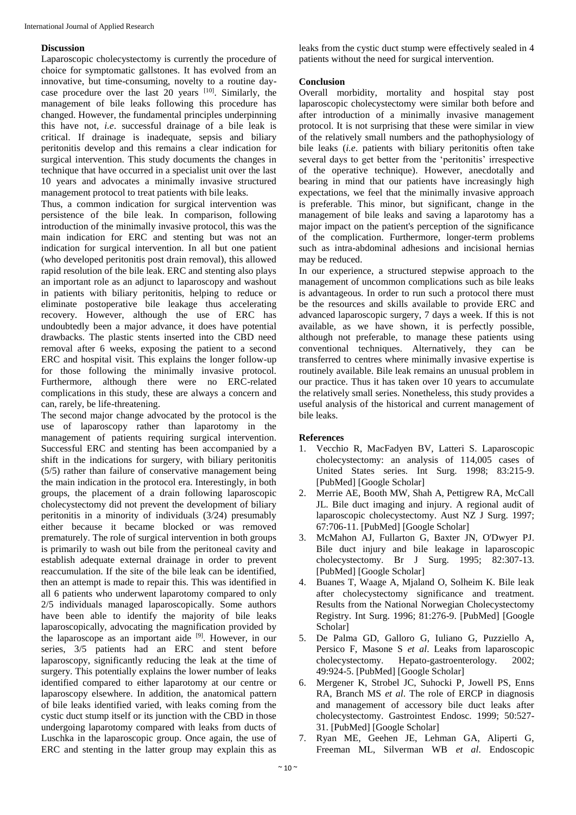# **Discussion**

Laparoscopic cholecystectomy is currently the procedure of choice for symptomatic gallstones. It has evolved from an innovative, but time-consuming, novelty to a routine daycase procedure over the last  $20$  years  $[10]$ . Similarly, the management of bile leaks following this procedure has changed. However, the fundamental principles underpinning this have not, *i.e*. successful drainage of a bile leak is critical. If drainage is inadequate, sepsis and biliary peritonitis develop and this remains a clear indication for surgical intervention. This study documents the changes in technique that have occurred in a specialist unit over the last 10 years and advocates a minimally invasive structured management protocol to treat patients with bile leaks.

Thus, a common indication for surgical intervention was persistence of the bile leak. In comparison, following introduction of the minimally invasive protocol, this was the main indication for ERC and stenting but was not an indication for surgical intervention. In all but one patient (who developed peritonitis post drain removal), this allowed rapid resolution of the bile leak. ERC and stenting also plays an important role as an adjunct to laparoscopy and washout in patients with biliary peritonitis, helping to reduce or eliminate postoperative bile leakage thus accelerating recovery. However, although the use of ERC has undoubtedly been a major advance, it does have potential drawbacks. The plastic stents inserted into the CBD need removal after 6 weeks, exposing the patient to a second ERC and hospital visit. This explains the longer follow-up for those following the minimally invasive protocol. Furthermore, although there were no ERC-related complications in this study, these are always a concern and can, rarely, be life-threatening.

The second major change advocated by the protocol is the use of laparoscopy rather than laparotomy in the management of patients requiring surgical intervention. Successful ERC and stenting has been accompanied by a shift in the indications for surgery, with biliary peritonitis (5/5) rather than failure of conservative management being the main indication in the protocol era. Interestingly, in both groups, the placement of a drain following laparoscopic cholecystectomy did not prevent the development of biliary peritonitis in a minority of individuals (3/24) presumably either because it became blocked or was removed prematurely. The role of surgical intervention in both groups is primarily to wash out bile from the peritoneal cavity and establish adequate external drainage in order to prevent reaccumulation. If the site of the bile leak can be identified, then an attempt is made to repair this. This was identified in all 6 patients who underwent laparotomy compared to only 2/5 individuals managed laparoscopically. Some authors have been able to identify the majority of bile leaks laparoscopically, advocating the magnification provided by the laparoscope as an important aide [9]. However, in our series, 3/5 patients had an ERC and stent before laparoscopy, significantly reducing the leak at the time of surgery. This potentially explains the lower number of leaks identified compared to either laparotomy at our centre or laparoscopy elsewhere. In addition, the anatomical pattern of bile leaks identified varied, with leaks coming from the cystic duct stump itself or its junction with the CBD in those undergoing laparotomy compared with leaks from ducts of Luschka in the laparoscopic group. Once again, the use of ERC and stenting in the latter group may explain this as

leaks from the cystic duct stump were effectively sealed in 4 patients without the need for surgical intervention.

## **Conclusion**

Overall morbidity, mortality and hospital stay post laparoscopic cholecystectomy were similar both before and after introduction of a minimally invasive management protocol. It is not surprising that these were similar in view of the relatively small numbers and the pathophysiology of bile leaks (*i.e*. patients with biliary peritonitis often take several days to get better from the 'peritonitis' irrespective of the operative technique). However, anecdotally and bearing in mind that our patients have increasingly high expectations, we feel that the minimally invasive approach is preferable. This minor, but significant, change in the management of bile leaks and saving a laparotomy has a major impact on the patient's perception of the significance of the complication. Furthermore, longer-term problems such as intra-abdominal adhesions and incisional hernias may be reduced.

In our experience, a structured stepwise approach to the management of uncommon complications such as bile leaks is advantageous. In order to run such a protocol there must be the resources and skills available to provide ERC and advanced laparoscopic surgery, 7 days a week. If this is not available, as we have shown, it is perfectly possible, although not preferable, to manage these patients using conventional techniques. Alternatively, they can be transferred to centres where minimally invasive expertise is routinely available. Bile leak remains an unusual problem in our practice. Thus it has taken over 10 years to accumulate the relatively small series. Nonetheless, this study provides a useful analysis of the historical and current management of bile leaks.

# **References**

- 1. Vecchio R, MacFadyen BV, Latteri S. Laparoscopic cholecystectomy: an analysis of 114,005 cases of United States series. Int Surg. 1998; 83:215-9. [PubMed] [Google Scholar]
- 2. Merrie AE, Booth MW, Shah A, Pettigrew RA, McCall JL. Bile duct imaging and injury. A regional audit of laparoscopic cholecystectomy. Aust NZ J Surg. 1997; 67:706-11. [PubMed] [Google Scholar]
- 3. McMahon AJ, Fullarton G, Baxter JN, O'Dwyer PJ. Bile duct injury and bile leakage in laparoscopic cholecystectomy. Br J Surg. 1995; 82:307-13. [PubMed] [Google Scholar]
- 4. Buanes T, Waage A, Mjaland O, Solheim K. Bile leak after cholecystectomy significance and treatment. Results from the National Norwegian Cholecystectomy Registry. Int Surg. 1996; 81:276-9. [PubMed] [Google Scholar]
- 5. De Palma GD, Galloro G, Iuliano G, Puzziello A, Persico F, Masone S *et al*. Leaks from laparoscopic cholecystectomy. Hepato-gastroenterology. 2002; 49:924-5. [PubMed] [Google Scholar]
- 6. Mergener K, Strobel JC, Suhocki P, Jowell PS, Enns RA, Branch MS *et al*. The role of ERCP in diagnosis and management of accessory bile duct leaks after cholecystectomy. Gastrointest Endosc. 1999; 50:527- 31. [PubMed] [Google Scholar]
- 7. Ryan ME, Geehen JE, Lehman GA, Aliperti G, Freeman ML, Silverman WB *et al*. Endoscopic